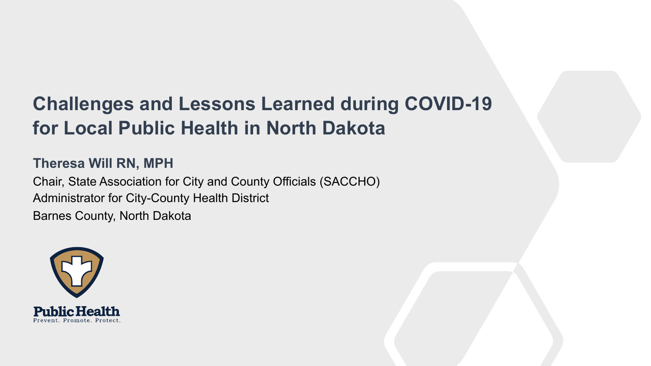### **Challenges and Lessons Learned during COVID-19 for Local Public Health in North Dakota**

#### **Theresa Will RN, MPH**

Chair, State Association for City and County Officials (SACCHO) Administrator for City-County Health District Barnes County, North Dakota

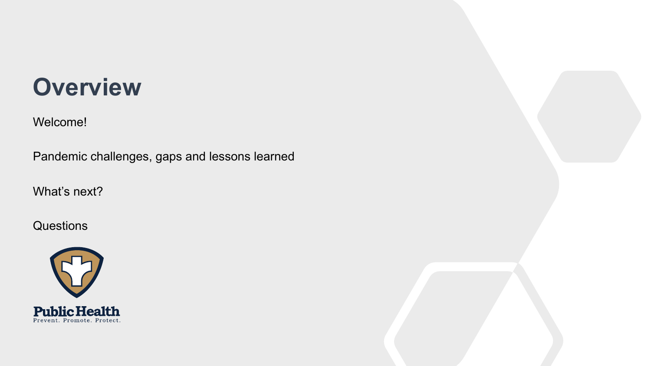# **Overview**

Welcome!

Pandemic challenges, gaps and lessons learned

What's next?

#### Questions

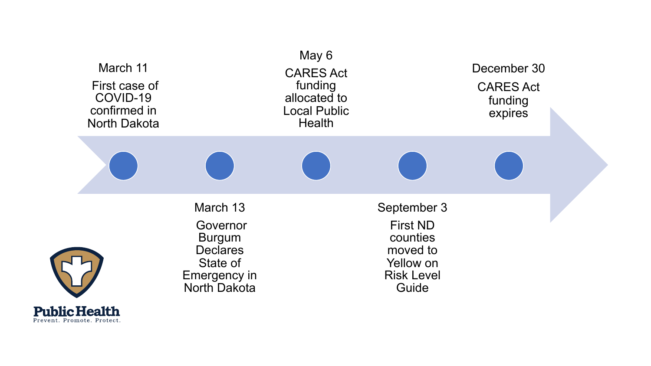

Prevent. Promote. Protect.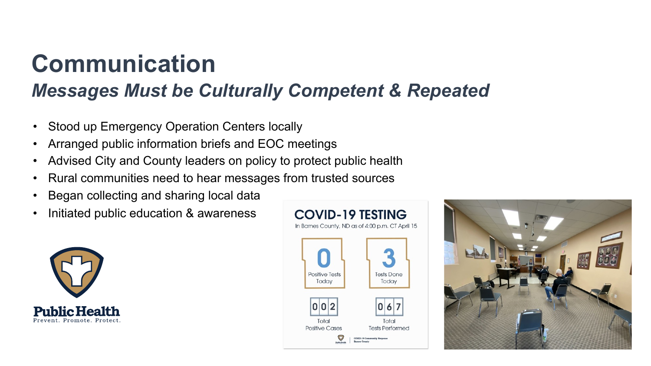# **Communication**

### *Messages Must be Culturally Competent & Repeated*

- Stood up Emergency Operation Centers locally
- Arranged public information briefs and EOC meetings
- Advised City and County leaders on policy to protect public health
- Rural communities need to hear messages from trusted sources
- Began collecting and sharing local data
- Initiated public education & awareness





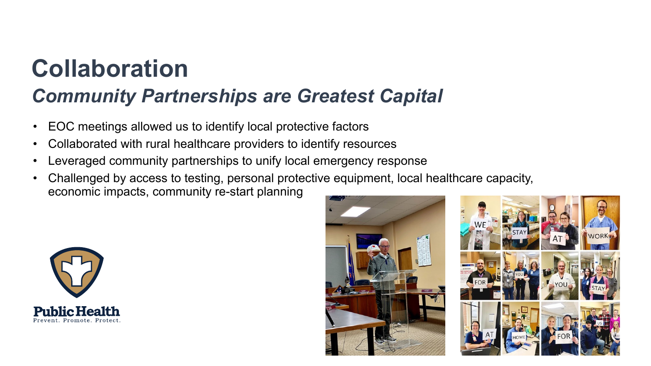# **Collaboration**

#### *Community Partnerships are Greatest Capital*

- EOC meetings allowed us to identify local protective factors
- Collaborated with rural healthcare providers to identify resources
- Leveraged community partnerships to unify local emergency response
- Challenged by access to testing, personal protective equipment, local healthcare capacity, economic impacts, community re-start planning



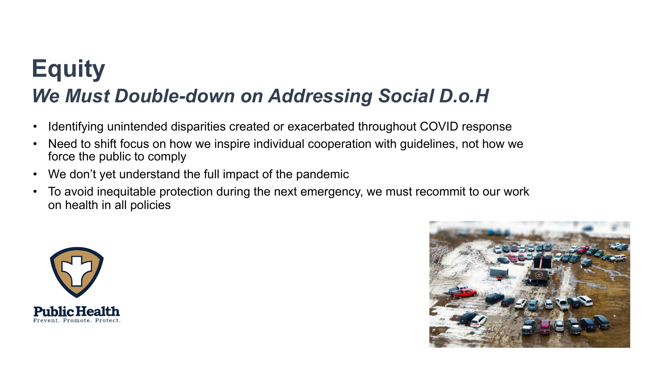# **Equity**  *We Must Double-down on Addressing Social D.o.H*

- Identifying unintended disparities created or exacerbated throughout COVID response
- Need to shift focus on how we inspire individual cooperation with guidelines, not how we force the public to comply
- We don't yet understand the full impact of the pandemic
- To avoid inequitable protection during the next emergency, we must recommit to our work on health in all policies



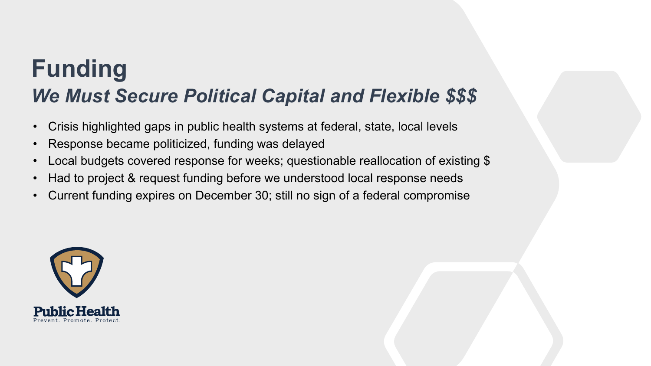## **Funding** *We Must Secure Political Capital and Flexible \$\$\$*

- Crisis highlighted gaps in public health systems at federal, state, local levels
- Response became politicized, funding was delayed
- Local budgets covered response for weeks; questionable reallocation of existing \$
- Had to project & request funding before we understood local response needs
- Current funding expires on December 30; still no sign of a federal compromise

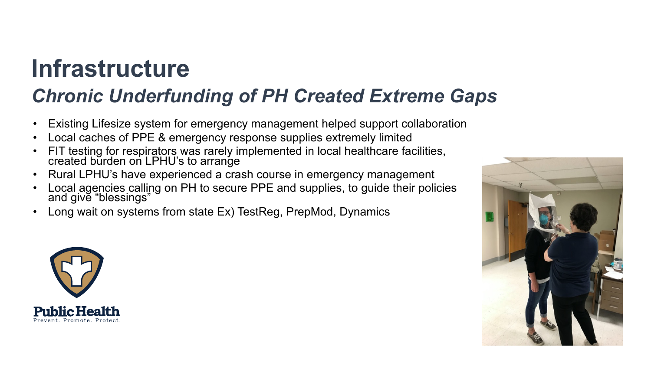## **Infrastructure**

#### *Chronic Underfunding of PH Created Extreme Gaps*

- Existing Lifesize system for emergency management helped support collaboration
- Local caches of PPE & emergency response supplies extremely limited
- FIT testing for respirators was rarely implemented in local healthcare facilities, created burden on LPHU's to arrange
- Rural LPHU's have experienced a crash course in emergency management
- Local agencies calling on PH to secure PPE and supplies, to guide their policies and give "blessings"
- Long wait on systems from state Ex) TestReg, PrepMod, Dynamics



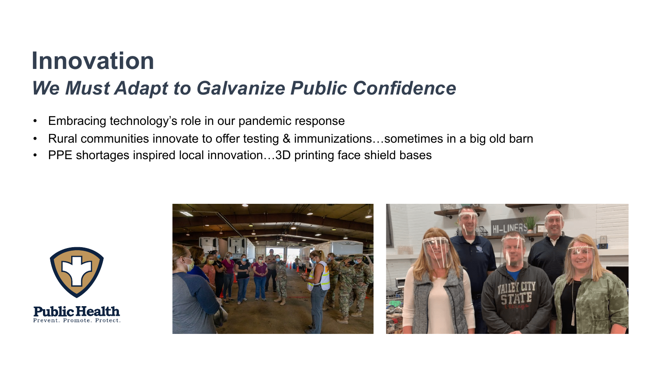## **Innovation**  *We Must Adapt to Galvanize Public Confidence*

- Embracing technology's role in our pandemic response
- Rural communities innovate to offer testing & immunizations...sometimes in a big old barn
- PPE shortages inspired local innovation...3D printing face shield bases



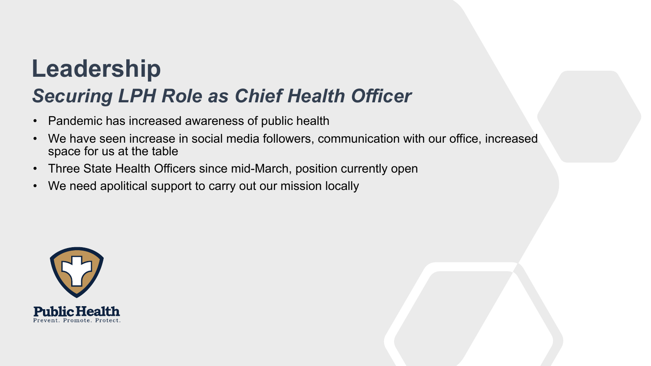## **Leadership** *Securing LPH Role as Chief Health Officer*

- Pandemic has increased awareness of public health
- We have seen increase in social media followers, communication with our office, increased space for us at the table
- Three State Health Officers since mid-March, position currently open
- We need apolitical support to carry out our mission locally

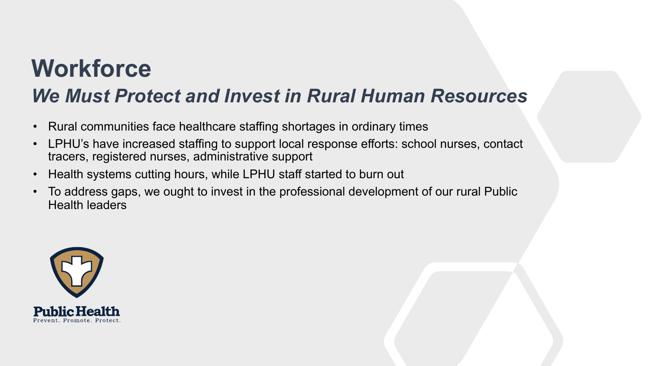# **Workforce**

#### *We Must Protect and Invest in Rural Human Resources*

- Rural communities face healthcare staffing shortages in ordinary times
- LPHU's have increased staffing to support local response efforts: school nurses, contact tracers, registered nurses, administrative support
- Health systems cutting hours, while LPHU staff started to burn out
- To address gaps, we ought to invest in the professional development of our rural Public Health leaders

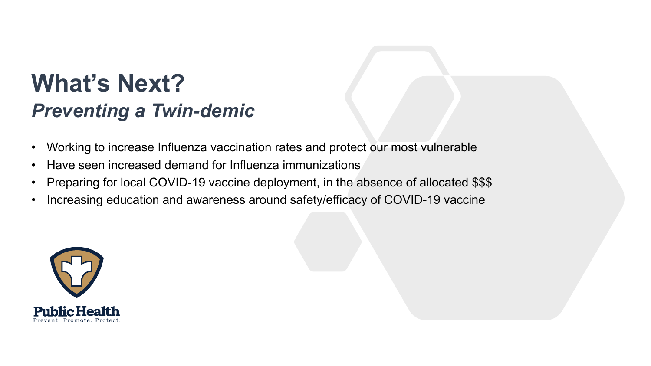## **What's Next?** *Preventing a Twin-demic*

- Working to increase Influenza vaccination rates and protect our most vulnerable
- Have seen increased demand for Influenza immunizations
- Preparing for local COVID-19 vaccine deployment, in the absence of allocated \$\$\$
- Increasing education and awareness around safety/efficacy of COVID-19 vaccine